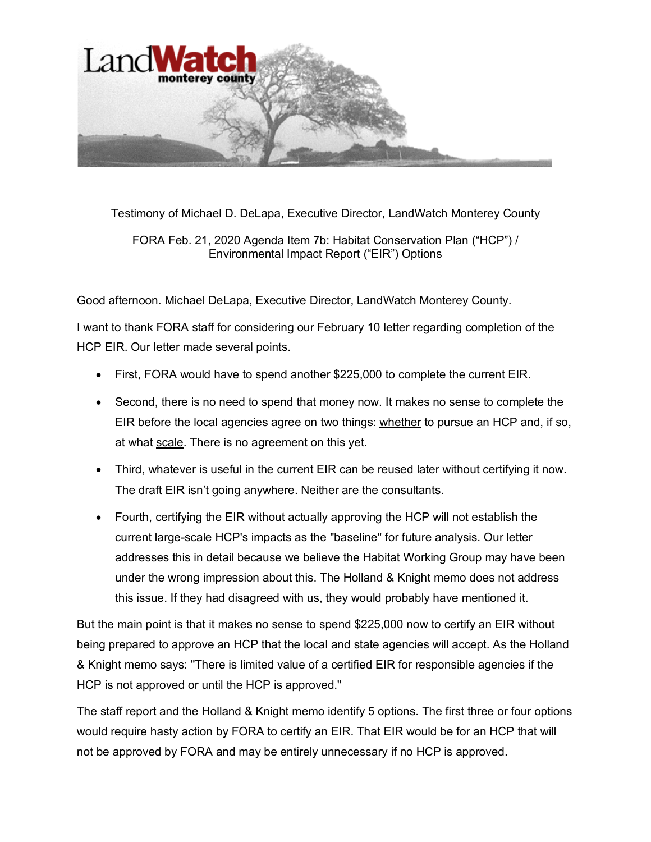

Testimony of Michael D. DeLapa, Executive Director, LandWatch Monterey County

FORA Feb. 21, 2020 Agenda Item 7b: Habitat Conservation Plan ("HCP") / Environmental Impact Report ("EIR") Options

Good afternoon. Michael DeLapa, Executive Director, LandWatch Monterey County.

I want to thank FORA staff for considering our February 10 letter regarding completion of the HCP EIR. Our letter made several points.

- First, FORA would have to spend another \$225,000 to complete the current EIR.
- Second, there is no need to spend that money now. It makes no sense to complete the EIR before the local agencies agree on two things: whether to pursue an HCP and, if so, at what scale. There is no agreement on this yet.
- Third, whatever is useful in the current EIR can be reused later without certifying it now. The draft EIR isn't going anywhere. Neither are the consultants.
- Fourth, certifying the EIR without actually approving the HCP will not establish the current large-scale HCP's impacts as the "baseline" for future analysis. Our letter addresses this in detail because we believe the Habitat Working Group may have been under the wrong impression about this. The Holland & Knight memo does not address this issue. If they had disagreed with us, they would probably have mentioned it.

But the main point is that it makes no sense to spend \$225,000 now to certify an EIR without being prepared to approve an HCP that the local and state agencies will accept. As the Holland & Knight memo says: "There is limited value of a certified EIR for responsible agencies if the HCP is not approved or until the HCP is approved."

The staff report and the Holland & Knight memo identify 5 options. The first three or four options would require hasty action by FORA to certify an EIR. That EIR would be for an HCP that will not be approved by FORA and may be entirely unnecessary if no HCP is approved.